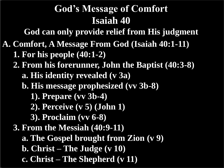**God can only provide relief from His judgment**

- **A. Comfort, A Message From God (Isaiah 40:1-11) 1. For his people (40:1-2)**
	- **2. From his forerunner, John the Baptist (40:3-8)**
		- **a. His identity revealed (v 3a)**
		- **b. His message prophesized (vv 3b-8)**
			- **1). Prepare (vv 3b-4)**
			- **2). Perceive (v 5) (John 1)**
			- **3). Proclaim (vv 6-8)**
	- **3. From the Messiah (40:9-11)**
		- **a. The Gospel brought from Zion (v 9)**
		- **b. Christ – The Judge (v 10)**
		- **c. Christ – The Shepherd (v 11)**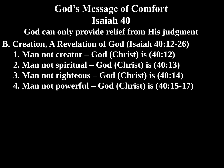**B. Creation, A Revelation of God (Isaiah 40:12-26) 1. Man not creator – God (Christ) is (40:12) 2. Man not spiritual – God (Christ) is (40:13) 3. Man not righteous – God (Christ) is (40:14) 4. Man not powerful – God (Christ) is (40:15-17) God can only provide relief from His judgment**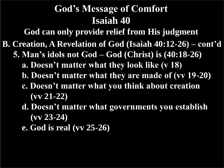**God can only provide relief from His judgment**

- **B. Creation, A Revelation of God (Isaiah 40:12-26) – cont'd**
	- **5. Man's idols not God – God (Christ) is (40:18-26)**
		- **a. Doesn't matter what they look like (v 18)**
		- **b. Doesn't matter what they are made of (vv 19-20)**
		- **c. Doesn't matter what you think about creation (vv 21-22)**
		- **d. Doesn't matter what governments you establish (vv 23-24)**
		- **e. God is real (vv 25-26)**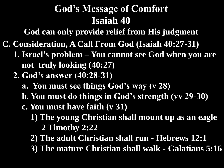**God can only provide relief from His judgment**

- **C. Consideration, A Call From God (Isaiah 40:27-31)**
	- **1. Israel's problem – You cannot see God when you are not truly looking (40:27)**
	- **2. God's answer (40:28-31)**
		- **a. You must see things God's way (v 28)**
		- **b. You must do things in God's strength (vv 29-30)**
		- **c. You must have faith (v 31)**
			- **1) The young Christian shall mount up as an eagle 2 Timothy 2:22**
			- **2) The adult Christian shall run - Hebrews 12:1**
			- **3) The mature Christian shall walk - Galatians 5:16**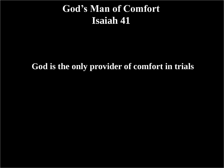#### **God's Man of Comfort Isaiah 41**

#### **God is the only provider of comfort in trials**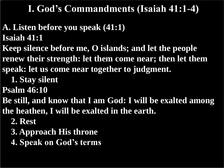#### **I. God's Commandments (Isaiah 41:1-4)**

- **A. Listen before you speak (41:1) Isaiah 41:1**
- **Keep silence before me, O islands; and let the people renew their strength: let them come near; then let them**
- **speak: let us come near together to judgment.**
	- **1. Stay silent**
- **Psalm 46:10**
- **Be still, and know that I am God: I will be exalted among**
- **the heathen, I will be exalted in the earth.** 
	- **2. Rest**
	- **3. Approach His throne**
	- **4. Speak on God's terms**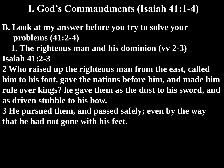#### **I. God's Commandments (Isaiah 41:1-4)**

**B. Look at my answer before you try to solve your problems (41:2-4)**

 **1. The righteous man and his dominion (vv 2-3) Isaiah 41:2-3**

**2 Who raised up the righteous man from the east, called him to his foot, gave the nations before him, and made him rule over kings? he gave them as the dust to his sword, and as driven stubble to his bow.**

**3 He pursued them, and passed safely; even by the way that he had not gone with his feet.**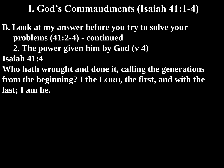#### **I. God's Commandments (Isaiah 41:1-4)**

**B. Look at my answer before you try to solve your problems (41:2-4) - continued**

 **2. The power given him by God (v 4)**

**Isaiah 41:4**

**Who hath wrought and done it, calling the generations from the beginning? I the LORD, the first, and with the last; I am he.**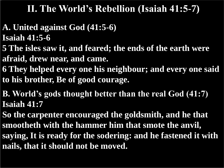#### **II. The World's Rebellion (Isaiah 41:5-7)**

- **A. United against God (41:5-6) Isaiah 41:5-6**
- **5 The isles saw it, and feared; the ends of the earth were afraid, drew near, and came.**
- **6 They helped every one his neighbour; and every one said to his brother, Be of good courage.**
- **B. World's gods thought better than the real God (41:7) Isaiah 41:7**
- **So the carpenter encouraged the goldsmith, and he that smootheth with the hammer him that smote the anvil, saying, It is ready for the sodering: and he fastened it with nails, that it should not be moved.**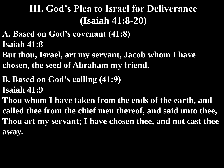- **A. Based on God's covenant (41:8) Isaiah 41:8**
- **But thou, Israel, art my servant, Jacob whom I have chosen, the seed of Abraham my friend.**
- **B. Based on God's calling (41:9) Isaiah 41:9**
- **Thou whom I have taken from the ends of the earth, and called thee from the chief men thereof, and said unto thee, Thou art my servant; I have chosen thee, and not cast thee away.**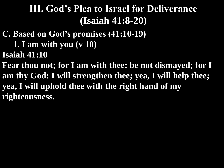- **C. Based on God's promises (41:10-19)**
	- **1. I am with you (v 10)**
- **Isaiah 41:10**
- **Fear thou not; for I am with thee: be not dismayed; for I am thy God: I will strengthen thee; yea, I will help thee; yea, I will uphold thee with the right hand of my righteousness.**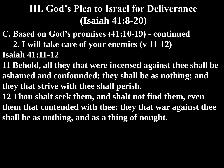- **C. Based on God's promises (41:10-19) - continued**
	- **2. I will take care of your enemies (v 11-12)**
- **Isaiah 41:11-12**
- **11 Behold, all they that were incensed against thee shall be ashamed and confounded: they shall be as nothing; and they that strive with thee shall perish.**
- **12 Thou shalt seek them, and shalt not find them, even**
- **them that contended with thee: they that war against thee shall be as nothing, and as a thing of nought.**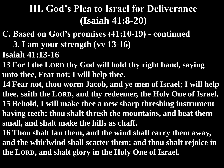- **C. Based on God's promises (41:10-19) - continued**
	- **3. I am your strength (vv 13-16)**
- **Isaiah 41:13-16**
- **13 For I the LORD thy God will hold thy right hand, saying unto thee, Fear not; I will help thee.**
- **14 Fear not, thou worm Jacob, and ye men of Israel; I will help thee, saith the LORD, and thy redeemer, the Holy One of Israel. 15 Behold, I will make thee a new sharp threshing instrument having teeth: thou shalt thresh the mountains, and beat them small, and shalt make the hills as chaff.**
- **16 Thou shalt fan them, and the wind shall carry them away, and the whirlwind shall scatter them: and thou shalt rejoice in the LORD, and shalt glory in the Holy One of Israel.**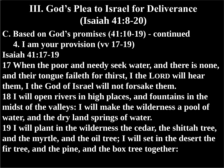- **C. Based on God's promises (41:10-19) - continued**
	- **4. I am your provision (vv 17-19)**
- **Isaiah 41:17-19**
- **17 When the poor and needy seek water, and there is none, and their tongue faileth for thirst, I the LORD will hear**
- **them, I the God of Israel will not forsake them.**
- **18 I will open rivers in high places, and fountains in the midst of the valleys: I will make the wilderness a pool of water, and the dry land springs of water.**
- **19 I will plant in the wilderness the cedar, the shittah tree, and the myrtle, and the oil tree; I will set in the desert the fir tree, and the pine, and the box tree together:**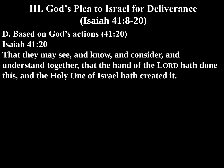- **D. Based on God's actions (41:20) Isaiah 41:20**
- **That they may see, and know, and consider, and understand together, that the hand of the LORD hath done this, and the Holy One of Israel hath created it.**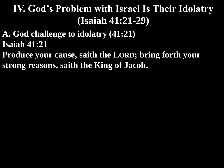- **A. God challenge to idolatry (41:21) Isaiah 41:21**
- **Produce your cause, saith the LORD; bring forth your strong reasons, saith the King of Jacob.**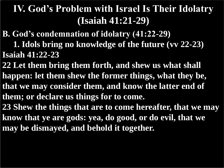- **B. God's condemnation of idolatry (41:22-29)**
- **1. Idols bring no knowledge of the future (vv 22-23) Isaiah 41:22-23**
- **22 Let them bring them forth, and shew us what shall happen: let them shew the former things, what they be, that we may consider them, and know the latter end of them; or declare us things for to come.**
- **23 Shew the things that are to come hereafter, that we may know that ye are gods: yea, do good, or do evil, that we may be dismayed, and behold it together.**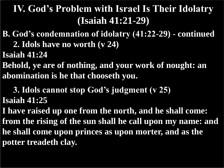- **B. God's condemnation of idolatry (41:22-29) - continued**
	- **2. Idols have no worth (v 24)**
- **Isaiah 41:24**
- **Behold, ye are of nothing, and your work of nought: an abomination is he that chooseth you.**
- **3. Idols cannot stop God's judgment (v 25) Isaiah 41:25**
- **I have raised up one from the north, and he shall come: from the rising of the sun shall he call upon my name: and he shall come upon princes as upon morter, and as the potter treadeth clay.**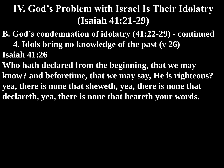- **B. God's condemnation of idolatry (41:22-29) - continued 4. Idols bring no knowledge of the past (v 26) Isaiah 41:26**
- **Who hath declared from the beginning, that we may know? and beforetime, that we may say, He is righteous? yea, there is none that sheweth, yea, there is none that declareth, yea, there is none that heareth your words.**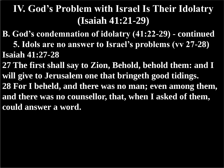- **B. God's condemnation of idolatry (41:22-29) - continued 5. Idols are no answer to Israel's problems (vv 27-28) Isaiah 41:27-28**
- **27 The first shall say to Zion, Behold, behold them: and I will give to Jerusalem one that bringeth good tidings. 28 For I beheld, and there was no man; even among them, and there was no counsellor, that, when I asked of them, could answer a word.**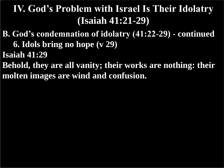- **B. God's condemnation of idolatry (41:22-29) - continued 6. Idols bring no hope (v 29)**
- **Isaiah 41:29**
- **Behold, they are all vanity; their works are nothing: their molten images are wind and confusion.**